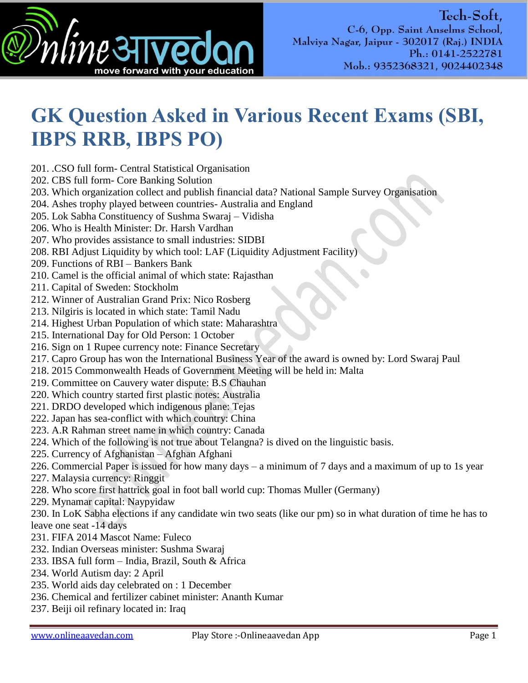

## **GK Question Asked in Various Recent Exams (SBI, IBPS RRB, IBPS PO)**

- 201. .CSO full form- Central Statistical Organisation
- 202. CBS full form- Core Banking Solution
- 203. Which organization collect and publish financial data? National Sample Survey Organisation
- 204. Ashes trophy played between countries- Australia and England
- 205. Lok Sabha Constituency of Sushma Swaraj Vidisha
- 206. Who is Health Minister: Dr. Harsh Vardhan
- 207. Who provides assistance to small industries: SIDBI
- 208. RBI Adjust Liquidity by which tool: LAF (Liquidity Adjustment Facility)
- 209. Functions of RBI Bankers Bank
- 210. Camel is the official animal of which state: Rajasthan
- 211. Capital of Sweden: Stockholm
- 212. Winner of Australian Grand Prix: Nico Rosberg
- 213. Nilgiris is located in which state: Tamil Nadu
- 214. Highest Urban Population of which state: Maharashtra
- 215. International Day for Old Person: 1 October
- 216. Sign on 1 Rupee currency note: Finance Secretary
- 217. Capro Group has won the International Business Year of the award is owned by: Lord Swaraj Paul
- 218. 2015 Commonwealth Heads of Government Meeting will be held in: Malta
- 219. Committee on Cauvery water dispute: B.S Chauhan
- 220. Which country started first plastic notes: Australia
- 221. DRDO developed which indigenous plane: Tejas
- 222. Japan has sea-conflict with which country: China
- 223. A.R Rahman street name in which country: Canada
- 224. Which of the following is not true about Telangna? is dived on the linguistic basis.
- 225. Currency of Afghanistan Afghan Afghani
- 226. Commercial Paper is issued for how many days a minimum of 7 days and a maximum of up to 1s year
- 227. Malaysia currency: Ringgit
- 228. Who score first hattrick goal in foot ball world cup: Thomas Muller (Germany)
- 229. Mynamar capital: Naypyidaw
- 230. In LoK Sabha elections if any candidate win two seats (like our pm) so in what duration of time he has to leave one seat -14 days
- 231. FIFA 2014 Mascot Name: Fuleco
- 232. Indian Overseas minister: Sushma Swaraj
- 233. IBSA full form India, Brazil, South & Africa
- 234. World Autism day: 2 April
- 235. World aids day celebrated on : 1 December
- 236. Chemical and fertilizer cabinet minister: Ananth Kumar
- 237. Beiji oil refinary located in: Iraq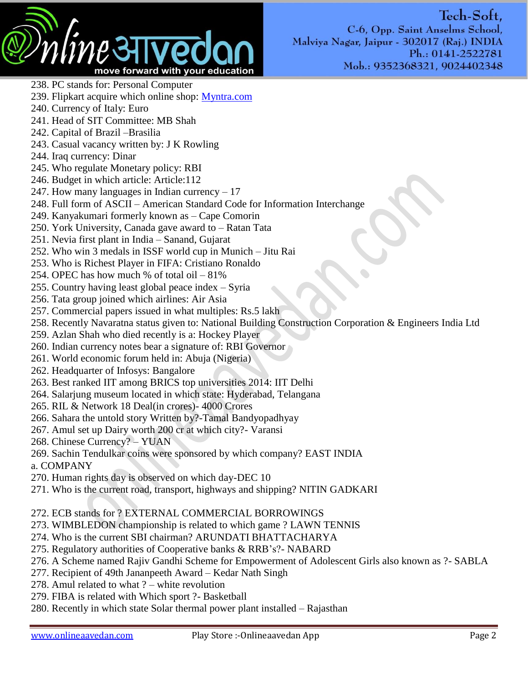

Tech-Soft, C-6, Opp. Saint Anselms School, Malviya Nagar, Jaipur - 302017 (Raj.) INDIA Ph.: 0141-2522781 Mob.: 9352368321, 9024402348

- 238. PC stands for: Personal Computer 239. Flipkart acquire which online shop: [Myntra.com](http://l.facebook.com/l.php?u=http%3A%2F%2FMyntra.com%2F&h=lAQHamlYs&enc=AZOQ1XeuCr34TeFdzOmE-PZjn2Y4kbJWQrm-clbBNYXTW3lLSgqVvwc-89gh4AGxSh2SBNTfIgWsQ8EVLuCeysC5AbmBFl5Y-QVvxNph0Ld4vY33vA3ApsEZmCFnCn_IAyea5m78Uv3c9E9sIqpJFm1r&s=1)
- 240. Currency of Italy: Euro
- 241. Head of SIT Committee: MB Shah
- 242. Capital of Brazil –Brasilia
- 243. Casual vacancy written by: J K Rowling
- 244. Iraq currency: Dinar
- 245. Who regulate Monetary policy: RBI
- 246. Budget in which article: Article:112
- 247. How many languages in Indian currency  $-17$
- 248. Full form of ASCII American Standard Code for Information Interchange
- 249. Kanyakumari formerly known as Cape Comorin
- 250. York University, Canada gave award to Ratan Tata
- 251. Nevia first plant in India Sanand, Gujarat
- 252. Who win 3 medals in ISSF world cup in Munich Jitu Rai
- 253. Who is Richest Player in FIFA: Cristiano Ronaldo
- 254. OPEC has how much % of total oil 81%
- 255. Country having least global peace index Syria
- 256. Tata group joined which airlines: Air Asia
- 257. Commercial papers issued in what multiples: Rs.5 lakh
- 258. Recently Navaratna status given to: National Building Construction Corporation & Engineers India Ltd
- 259. Azlan Shah who died recently is a: Hockey Player
- 260. Indian currency notes bear a signature of: RBI Governor
- 261. World economic forum held in: Abuja (Nigeria)
- 262. Headquarter of Infosys: Bangalore
- 263. Best ranked IIT among BRICS top universities 2014: IIT Delhi
- 264. Salarjung museum located in which state: Hyderabad, Telangana
- 265. RIL & Network 18 Deal(in crores)- 4000 Crores
- 266. Sahara the untold story Written by?-Tamal Bandyopadhyay
- 267. Amul set up Dairy worth 200 cr at which city?- Varansi
- 268. Chinese Currency? YUAN
- 269. Sachin Tendulkar coins were sponsored by which company? EAST INDIA
- a. COMPANY
- 270. Human rights day is observed on which day-DEC 10
- 271. Who is the current road, transport, highways and shipping? NITIN GADKARI
- 272. ECB stands for ? EXTERNAL COMMERCIAL BORROWINGS
- 273. WIMBLEDON championship is related to which game ? LAWN TENNIS
- 274. Who is the current SBI chairman? ARUNDATI BHATTACHARYA
- 275. Regulatory authorities of Cooperative banks & RRB's?- NABARD
- 276. A Scheme named Rajiv Gandhi Scheme for Empowerment of Adolescent Girls also known as ?- SABLA
- 277. Recipient of 49th Jananpeeth Award Kedar Nath Singh
- 278. Amul related to what ? white revolution
- 279. FIBA is related with Which sport ?- Basketball
- 280. Recently in which state Solar thermal power plant installed Rajasthan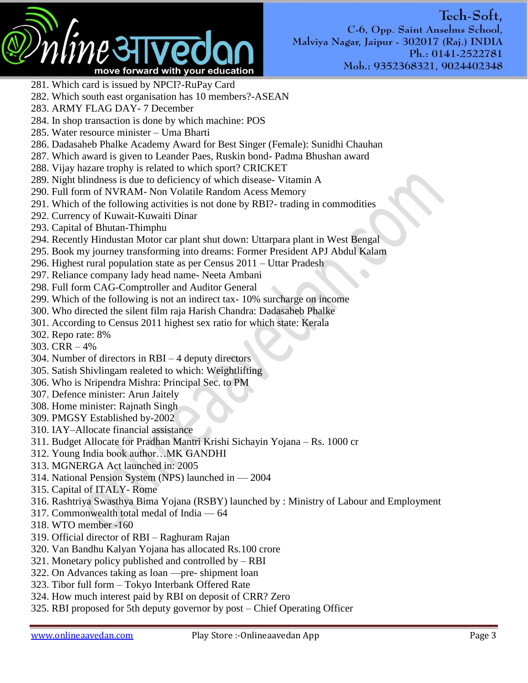

- 281. Which card is issued by NPCI?-RuPay Card
- 282. Which south east organisation has 10 members?-ASEAN
- 283. ARMY FLAG DAY- 7 December
- 284. In shop transaction is done by which machine: POS
- 285. Water resource minister Uma Bharti
- 286. Dadasaheb Phalke Academy Award for Best Singer (Female): Sunidhi Chauhan
- 287. Which award is given to Leander Paes, Ruskin bond- Padma Bhushan award
- 288. Vijay hazare trophy is related to which sport? CRICKET
- 289. Night blindness is due to deficiency of which disease- Vitamin A
- 290. Full form of NVRAM- Non Volatile Random Acess Memory
- 291. Which of the following activities is not done by RBI?- trading in commodities
- 292. Currency of Kuwait-Kuwaiti Dinar
- 293. Capital of Bhutan-Thimphu
- 294. Recently Hindustan Motor car plant shut down: Uttarpara plant in West Bengal
- 295. Book my journey transforming into dreams: Former President APJ Abdul Kalam
- 296. Highest rural population state as per Census 2011 Uttar Pradesh
- 297. Reliance company lady head name- Neeta Ambani
- 298. Full form CAG-Comptroller and Auditor General
- 299. Which of the following is not an indirect tax- 10% surcharge on income
- 300. Who directed the silent film raja Harish Chandra: Dadasaheb Phalke
- 301. According to Census 2011 highest sex ratio for which state: Kerala
- 302. Repo rate: 8%
- 303. CRR 4%
- 304. Number of directors in RBI 4 deputy directors
- 305. Satish Shivlingam realeted to which: Weightlifting
- 306. Who is Nripendra Mishra: Principal Sec. to PM
- 307. Defence minister: Arun Jaitely
- 308. Home minister: Rajnath Singh
- 309. PMGSY Established by-2002
- 310. IAY–Allocate financial assistance
- 311. Budget Allocate for Pradhan Mantri Krishi Sichayin Yojana Rs. 1000 cr
- 312. Young India book author…MK GANDHI
- 313. MGNERGA Act launched in: 2005
- 314. National Pension System (NPS) launched in 2004
- 315. Capital of ITALY- Rome
- 316. Rashtriya Swasthya Bima Yojana (RSBY) launched by : Ministry of Labour and Employment
- 317. Commonwealth total medal of India 64
- 318. WTO member -160
- 319. Official director of RBI Raghuram Rajan
- 320. Van Bandhu Kalyan Yojana has allocated Rs.100 crore
- 321. Monetary policy published and controlled by RBI
- 322. On Advances taking as loan —pre- shipment loan
- 323. Tibor full form Tokyo Interbank Offered Rate
- 324. How much interest paid by RBI on deposit of CRR? Zero
- 325. RBI proposed for 5th deputy governor by post Chief Operating Officer